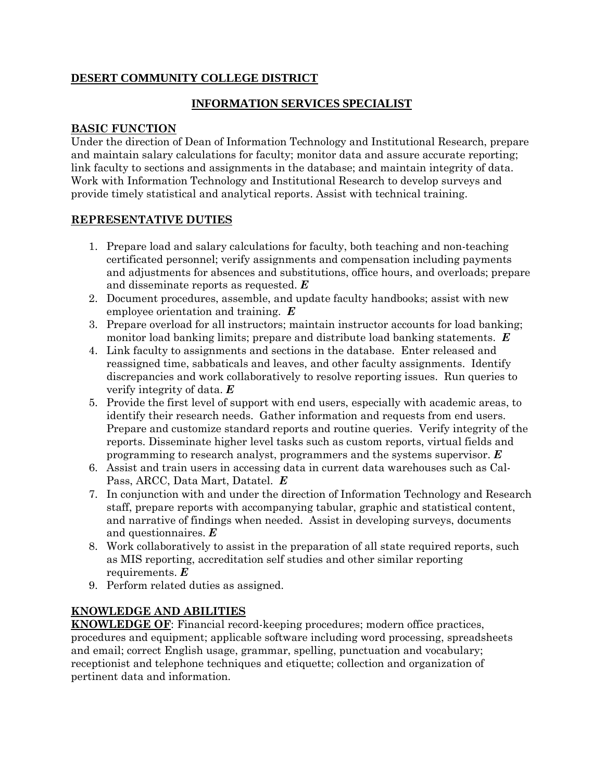## **DESERT COMMUNITY COLLEGE DISTRICT**

### **INFORMATION SERVICES SPECIALIST**

#### **BASIC FUNCTION**

Under the direction of Dean of Information Technology and Institutional Research, prepare and maintain salary calculations for faculty; monitor data and assure accurate reporting; link faculty to sections and assignments in the database; and maintain integrity of data. Work with Information Technology and Institutional Research to develop surveys and provide timely statistical and analytical reports. Assist with technical training.

#### **REPRESENTATIVE DUTIES**

- 1. Prepare load and salary calculations for faculty, both teaching and non-teaching certificated personnel; verify assignments and compensation including payments and adjustments for absences and substitutions, office hours, and overloads; prepare and disseminate reports as requested. *E*
- 2. Document procedures, assemble, and update faculty handbooks; assist with new employee orientation and training. *E*
- 3. Prepare overload for all instructors; maintain instructor accounts for load banking; monitor load banking limits; prepare and distribute load banking statements. *E*
- 4. Link faculty to assignments and sections in the database. Enter released and reassigned time, sabbaticals and leaves, and other faculty assignments. Identify discrepancies and work collaboratively to resolve reporting issues. Run queries to verify integrity of data. *E*
- 5. Provide the first level of support with end users, especially with academic areas, to identify their research needs. Gather information and requests from end users. Prepare and customize standard reports and routine queries. Verify integrity of the reports. Disseminate higher level tasks such as custom reports, virtual fields and programming to research analyst, programmers and the systems supervisor. *E*
- 6. Assist and train users in accessing data in current data warehouses such as Cal-Pass, ARCC, Data Mart, Datatel. *E*
- 7. In conjunction with and under the direction of Information Technology and Research staff, prepare reports with accompanying tabular, graphic and statistical content, and narrative of findings when needed. Assist in developing surveys, documents and questionnaires. *E*
- 8. Work collaboratively to assist in the preparation of all state required reports, such as MIS reporting, accreditation self studies and other similar reporting requirements. *E*
- 9. Perform related duties as assigned.

# **KNOWLEDGE AND ABILITIES**

**KNOWLEDGE OF**: Financial record-keeping procedures; modern office practices, procedures and equipment; applicable software including word processing, spreadsheets and email; correct English usage, grammar, spelling, punctuation and vocabulary; receptionist and telephone techniques and etiquette; collection and organization of pertinent data and information.